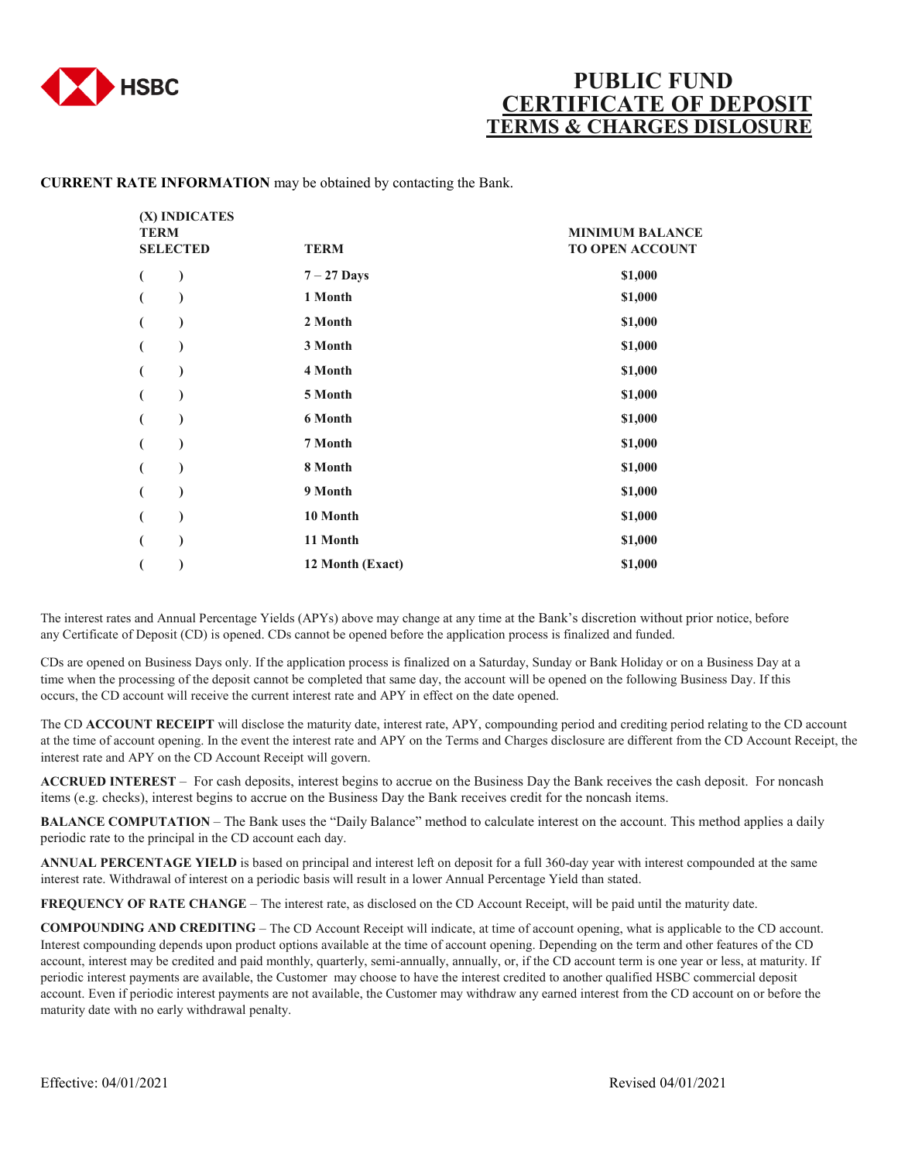

## **PUBLIC FUND CERTIFICATE OF DEPOSIT**<br>ERMS & CHARGES DISLOSURE

## **CURRENT RATE INFORMATION** may be obtained by contacting the Bank.

| (X) INDICATES<br><b>TERM</b><br><b>SELECTED</b> | <b>TERM</b>      | <b>MINIMUM BALANCE</b><br>TO OPEN ACCOUNT |
|-------------------------------------------------|------------------|-------------------------------------------|
| $\mathcal{E}$<br>€                              | $7 - 27$ Days    | \$1,000                                   |
|                                                 | 1 Month          | \$1,000                                   |
|                                                 | 2 Month          | \$1,000                                   |
|                                                 | 3 Month          | \$1,000                                   |
| €                                               | 4 Month          | \$1,000                                   |
|                                                 | 5 Month          | \$1,000                                   |
| €                                               | 6 Month          | \$1,000                                   |
|                                                 | 7 Month          | \$1,000                                   |
| €                                               | 8 Month          | \$1,000                                   |
|                                                 | 9 Month          | \$1,000                                   |
|                                                 | 10 Month         | \$1,000                                   |
|                                                 | 11 Month         | \$1,000                                   |
|                                                 | 12 Month (Exact) | \$1,000                                   |
|                                                 |                  |                                           |

The interest rates and Annual Percentage Yields (APYs) above may change at any time at the Bank's discretion without prior notice, before any Certificate of Deposit (CD) is opened. CDs cannot be opened before the application process is finalized and funded.

CDs are opened on Business Days only. If the application process is finalized on a Saturday, Sunday or Bank Holiday or on a Business Day at a time when the processing of the deposit cannot be completed that same day, the account will be opened on the following Business Day. If this occurs, the CD account will receive the current interest rate and APY in effect on the date opened.

The CD **ACCOUNT RECEIPT** will disclose the maturity date, interest rate, APY, compounding period and crediting period relating to the CD account at the time of account opening. In the event the interest rate and APY on the Terms and Charges disclosure are different from the CD Account Receipt, the interest rate and APY on the CD Account Receipt will govern.

**ACCRUED INTEREST** – For cash deposits, interest begins to accrue on the Business Day the Bank receives the cash deposit. For noncash items (e.g. checks), interest begins to accrue on the Business Day the Bank receives credit for the noncash items.

**BALANCE COMPUTATION** – The Bank uses the "Daily Balance" method to calculate interest on the account. This method applies a daily periodic rate to the principal in the CD account each day.

**ANNUAL PERCENTAGE YIELD** is based on principal and interest left on deposit for a full 360-day year with interest compounded at the same interest rate. Withdrawal of interest on a periodic basis will result in a lower Annual Percentage Yield than stated.

**FREQUENCY OF RATE CHANGE** – The interest rate, as disclosed on the CD Account Receipt, will be paid until the maturity date.

**COMPOUNDING AND CREDITING** – The CD Account Receipt will indicate, at time of account opening, what is applicable to the CD account. Interest compounding depends upon product options available at the time of account opening. Depending on the term and other features of the CD account, interest may be credited and paid monthly, quarterly, semi-annually, annually, or, if the CD account term is one year or less, at maturity. If periodic interest payments are available, the Customer may choose to have the interest credited to another qualified HSBC commercial deposit account. Even if periodic interest payments are not available, the Customer may withdraw any earned interest from the CD account on or before the maturity date with no early withdrawal penalty.